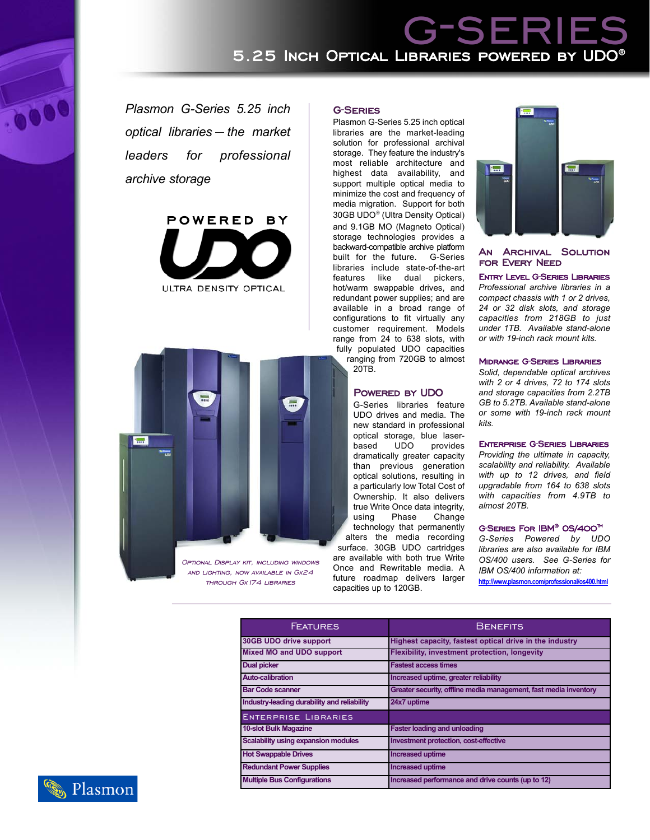# g-series 5.25 Inch Optical Libraries powered by UDO

*Plasmon G-Series 5.25 inch optical libraries the market leaders for professional archive storage*





and lighting, now available in Gx24 through Gx174 libraries

#### G-Series

Plasmon G-Series 5.25 inch optical libraries are the market-leading solution for professional archival storage. They feature the industry's most reliable architecture and highest data availability, and support multiple optical media to minimize the cost and frequency of media migration. Support for both 30GB UDO<sup>®</sup> (Ultra Density Optical) and 9.1GB MO (Magneto Optical) storage technologies provides a backward-compatible archive platform built for the future. G-Series libraries include state-of-the-art features like dual pickers, hot/warm swappable drives, and redundant power supplies; and are available in a broad range of configurations to fit virtually any customer requirement. Models range from 24 to 638 slots, with fully populated UDO capacities

ranging from 720GB to almost 20TB.

## POWERED BY UDO

G-Series libraries feature UDO drives and media. The new standard in professional optical storage, blue laserbased UDO provides dramatically greater capacity than previous generation optical solutions, resulting in a particularly low Total Cost of Ownership. It also delivers true Write Once data integrity, using Phase Change technology that permanently alters the media recording surface. 30GB UDO cartridges are available with both true Write Once and Rewritable media. A future roadmap delivers larger capacities up to 120GB.



# An Archival Solution for Every Need

Entry Level G-Series Libraries *Professional archive libraries in a compact chassis with 1 or 2 drives, 24 or 32 disk slots, and storage capacities from 218GB to just under 1TB. Available stand-alone or with 19-inch rack mount kits.*

## Midrange G-Series Libraries

*Solid, dependable optical archives with 2 or 4 drives, 72 to 174 slots and storage capacities from 2.2TB GB to 5.2TB. Available stand-alone or some with 19-inch rack mount kits.*

#### Enterprise G-Series Libraries

*Providing the ultimate in capacity, scalability and reliability. Available with up to 12 drives, and field upgradable from 164 to 638 slots with capacities from 4.9TB to almost 20TB.*

### G-SERIES FOR IBM<sup>®</sup> OS/400<sup>™</sup>

*G-Series Powered by UDO libraries are also available for IBM OS/400 users. See G-Series for IBM OS/400 information at:*

**http://www.plasmon.com/professional/os400.html**

| <b>FEATURES</b>                             | <b>BENEFITS</b>                                                  |
|---------------------------------------------|------------------------------------------------------------------|
| 30GB UDO drive support                      | Highest capacity, fastest optical drive in the industry          |
| <b>Mixed MO and UDO support</b>             | <b>Flexibility, investment protection, longevity</b>             |
| <b>Dual picker</b>                          | <b>Fastest access times</b>                                      |
| <b>Auto-calibration</b>                     | Increased uptime, greater reliability                            |
| <b>Bar Code scanner</b>                     | Greater security, offline media management, fast media inventory |
| Industry-leading durability and reliability | 24x7 uptime                                                      |
| <b>ENTERPRISE LIBRARIES</b>                 |                                                                  |
| <b>10-slot Bulk Magazine</b>                | <b>Faster loading and unloading</b>                              |
| Scalability using expansion modules         | Investment protection, cost-effective                            |
| <b>Hot Swappable Drives</b>                 | <b>Increased uptime</b>                                          |
| <b>Redundant Power Supplies</b>             | <b>Increased uptime</b>                                          |
| <b>Multiple Bus Configurations</b>          | Increased performance and drive counts (up to 12)                |